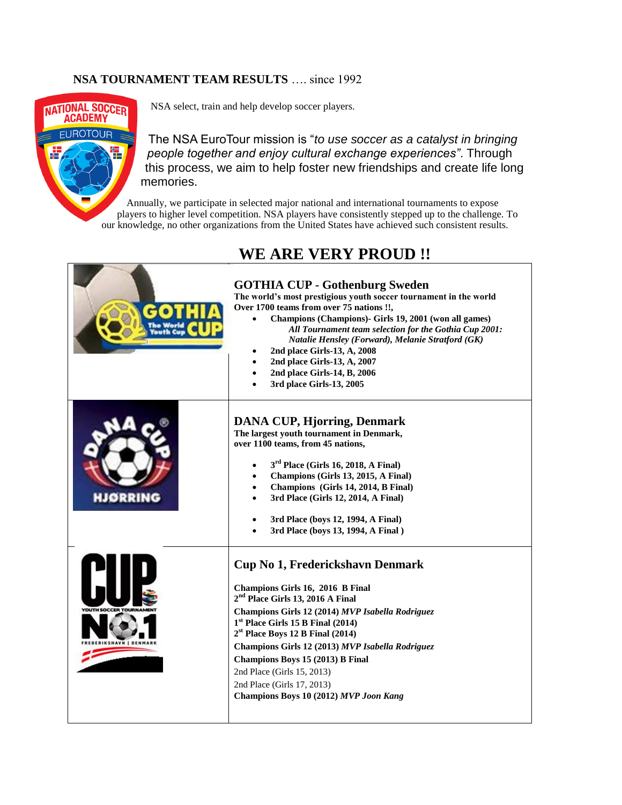## **NSA TOURNAMENT TEAM RESULTS** …. since 1992



NSA select, train and help develop soccer players.

The NSA EuroTour mission is "*to use soccer as a catalyst in bringing people together and enjoy cultural exchange experiences"*. Through this process, we aim to help foster new friendships and create life long memories.

Annually, we participate in selected major national and international tournaments to expose players to higher level competition. NSA players have consistently stepped up to the challenge. To our knowledge, no other organizations from the United States have achieved such consistent results.

## **WE ARE VERY PROUD !!**

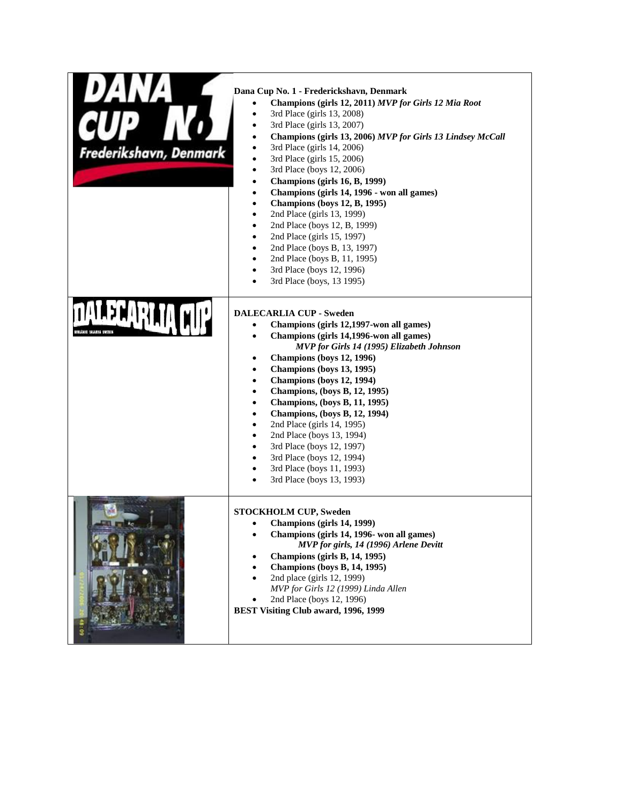| Frederikshavn, Denmark | Dana Cup No. 1 - Frederickshavn, Denmark<br>Champions (girls 12, 2011) MVP for Girls 12 Mia Root<br>$\bullet$<br>3rd Place (girls 13, 2008)<br>$\bullet$<br>3rd Place (girls 13, 2007)<br>$\bullet$<br>Champions (girls 13, 2006) MVP for Girls 13 Lindsey McCall<br>$\bullet$<br>3rd Place (girls 14, 2006)<br>$\bullet$<br>3rd Place (girls 15, 2006)<br>$\bullet$<br>3rd Place (boys 12, 2006)<br>$\bullet$<br>Champions (girls 16, B, 1999)<br>$\bullet$<br>Champions (girls 14, 1996 - won all games)<br>$\bullet$<br><b>Champions (boys 12, B, 1995)</b><br>$\bullet$<br>2nd Place (girls 13, 1999)<br>$\bullet$<br>2nd Place (boys 12, B, 1999)<br>$\bullet$<br>2nd Place (girls 15, 1997)<br>$\bullet$<br>2nd Place (boys B, 13, 1997)<br>$\bullet$<br>2nd Place (boys B, 11, 1995)<br>$\bullet$<br>3rd Place (boys 12, 1996)<br>$\bullet$<br>3rd Place (boys, 13 1995)<br>$\bullet$ |
|------------------------|----------------------------------------------------------------------------------------------------------------------------------------------------------------------------------------------------------------------------------------------------------------------------------------------------------------------------------------------------------------------------------------------------------------------------------------------------------------------------------------------------------------------------------------------------------------------------------------------------------------------------------------------------------------------------------------------------------------------------------------------------------------------------------------------------------------------------------------------------------------------------------------------|
| LENGE DALASMA NOVEMBR  | <b>DALECARLIA CUP - Sweden</b><br>Champions (girls 12,1997-won all games)<br>$\bullet$<br>Champions (girls 14,1996-won all games)<br>$\bullet$<br>MVP for Girls 14 (1995) Elizabeth Johnson<br>Champions (boys 12, 1996)<br>٠<br>Champions (boys 13, 1995)<br>$\bullet$<br>Champions (boys 12, 1994)<br>$\bullet$<br>Champions, (boys B, 12, 1995)<br>$\bullet$<br>Champions, (boys B, 11, 1995)<br>$\bullet$<br>Champions, (boys B, 12, 1994)<br>$\bullet$<br>2nd Place (girls 14, 1995)<br>$\bullet$<br>2nd Place (boys 13, 1994)<br>$\bullet$<br>3rd Place (boys 12, 1997)<br>$\bullet$<br>3rd Place (boys 12, 1994)<br>$\bullet$<br>3rd Place (boys 11, 1993)<br>$\bullet$<br>3rd Place (boys 13, 1993)<br>$\bullet$                                                                                                                                                                     |
|                        | <b>STOCKHOLM CUP, Sweden</b><br>Champions (girls 14, 1999)<br>٠<br>Champions (girls 14, 1996- won all games)<br>MVP for girls, 14 (1996) Arlene Devitt<br>Champions (girls B, 14, 1995)<br><b>Champions (boys B, 14, 1995)</b><br>2nd place (girls 12, 1999)<br>MVP for Girls 12 (1999) Linda Allen<br>2nd Place (boys 12, 1996)<br><b>BEST Visiting Club award, 1996, 1999</b>                                                                                                                                                                                                                                                                                                                                                                                                                                                                                                              |